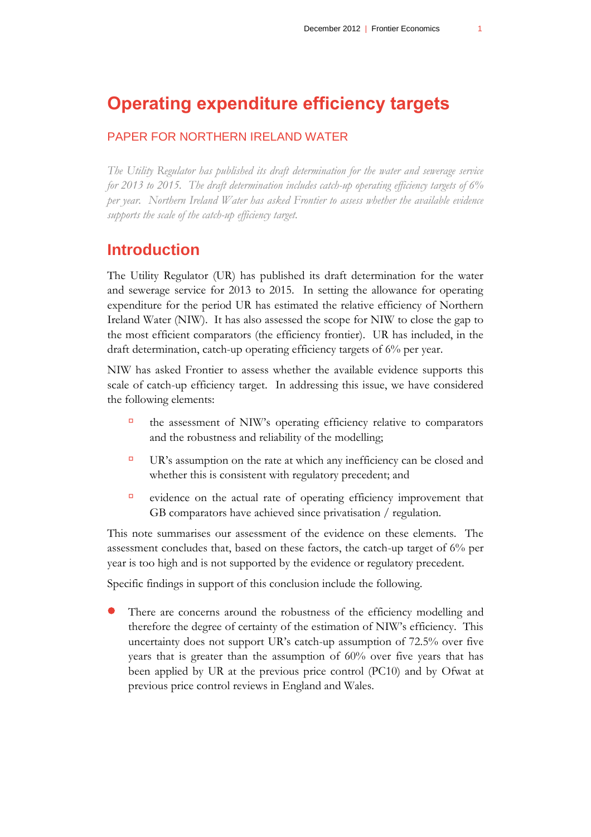# **Operating expenditure efficiency targets**

## PAPER FOR NORTHERN IRELAND WATER

*The Utility Regulator has published its draft determination for the water and sewerage service for 2013 to 2015. The draft determination includes catch-up operating efficiency targets of 6% per year. Northern Ireland Water has asked Frontier to assess whether the available evidence supports the scale of the catch-up efficiency target.*

## **Introduction**

The Utility Regulator (UR) has published its draft determination for the water and sewerage service for 2013 to 2015. In setting the allowance for operating expenditure for the period UR has estimated the relative efficiency of Northern Ireland Water (NIW). It has also assessed the scope for NIW to close the gap to the most efficient comparators (the efficiency frontier). UR has included, in the draft determination, catch-up operating efficiency targets of 6% per year.

NIW has asked Frontier to assess whether the available evidence supports this scale of catch-up efficiency target. In addressing this issue, we have considered the following elements:

- $\Box$  the assessment of NIW's operating efficiency relative to comparators and the robustness and reliability of the modelling;
- $\Box$  UR's assumption on the rate at which any inefficiency can be closed and whether this is consistent with regulatory precedent; and
- evidence on the actual rate of operating efficiency improvement that GB comparators have achieved since privatisation / regulation.

This note summarises our assessment of the evidence on these elements. The assessment concludes that, based on these factors, the catch-up target of 6% per year is too high and is not supported by the evidence or regulatory precedent.

Specific findings in support of this conclusion include the following.

 There are concerns around the robustness of the efficiency modelling and therefore the degree of certainty of the estimation of NIW's efficiency. This uncertainty does not support UR's catch-up assumption of 72.5% over five years that is greater than the assumption of 60% over five years that has been applied by UR at the previous price control (PC10) and by Ofwat at previous price control reviews in England and Wales.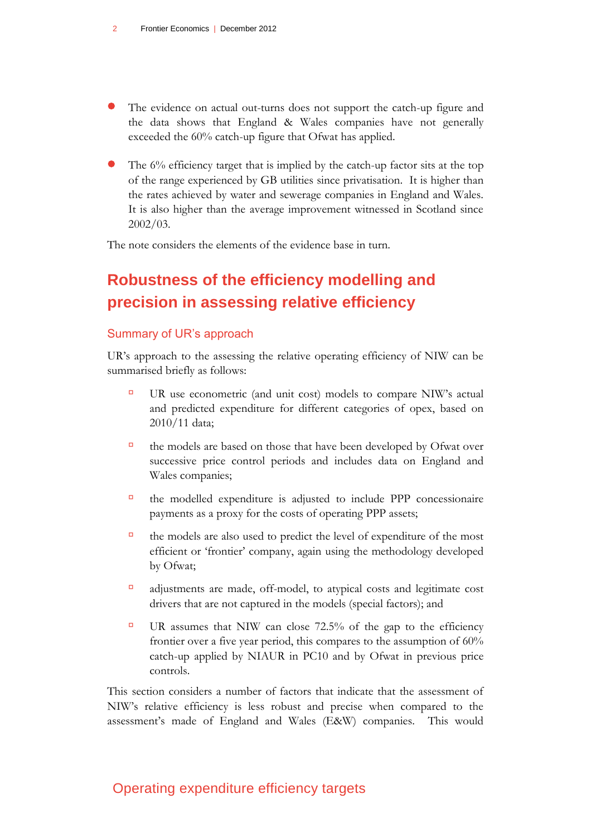- The evidence on actual out-turns does not support the catch-up figure and the data shows that England & Wales companies have not generally exceeded the 60% catch-up figure that Ofwat has applied.
- The 6% efficiency target that is implied by the catch-up factor sits at the top of the range experienced by GB utilities since privatisation. It is higher than the rates achieved by water and sewerage companies in England and Wales. It is also higher than the average improvement witnessed in Scotland since 2002/03.

The note considers the elements of the evidence base in turn.

# **Robustness of the efficiency modelling and precision in assessing relative efficiency**

#### Summary of UR's approach

UR's approach to the assessing the relative operating efficiency of NIW can be summarised briefly as follows:

- UR use econometric (and unit cost) models to compare NIW's actual and predicted expenditure for different categories of opex, based on 2010/11 data;
- $\Box$  the models are based on those that have been developed by Ofwat over successive price control periods and includes data on England and Wales companies;
- the modelled expenditure is adjusted to include PPP concessionaire payments as a proxy for the costs of operating PPP assets;
- $\Box$  the models are also used to predict the level of expenditure of the most efficient or 'frontier' company, again using the methodology developed by Ofwat;
- adjustments are made, off-model, to atypical costs and legitimate cost drivers that are not captured in the models (special factors); and
- UR assumes that NIW can close 72.5% of the gap to the efficiency frontier over a five year period, this compares to the assumption of 60% catch-up applied by NIAUR in PC10 and by Ofwat in previous price controls.

This section considers a number of factors that indicate that the assessment of NIW's relative efficiency is less robust and precise when compared to the assessment's made of England and Wales (E&W) companies. This would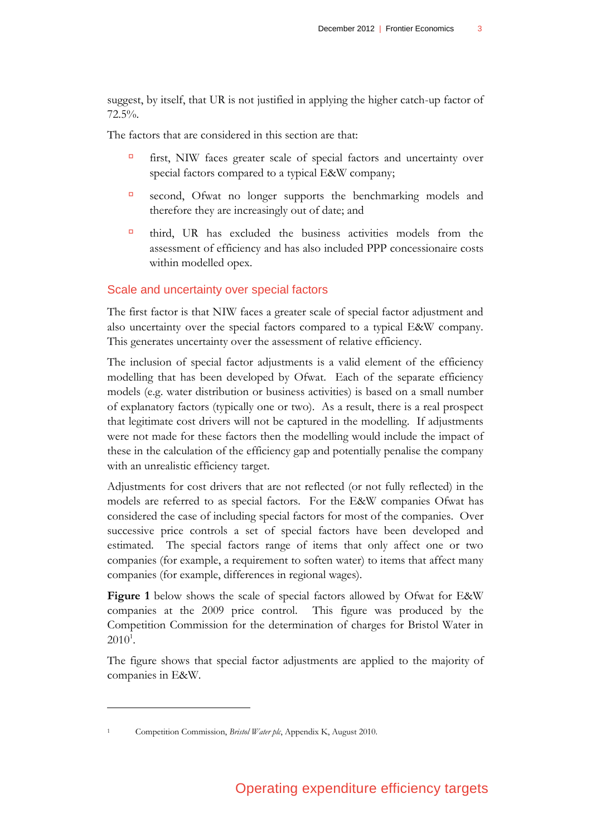suggest, by itself, that UR is not justified in applying the higher catch-up factor of 72.5%.

The factors that are considered in this section are that:

- first, NIW faces greater scale of special factors and uncertainty over special factors compared to a typical E&W company;
- second, Ofwat no longer supports the benchmarking models and therefore they are increasingly out of date; and
- third, UR has excluded the business activities models from the assessment of efficiency and has also included PPP concessionaire costs within modelled opex.

#### Scale and uncertainty over special factors

The first factor is that NIW faces a greater scale of special factor adjustment and also uncertainty over the special factors compared to a typical E&W company. This generates uncertainty over the assessment of relative efficiency.

The inclusion of special factor adjustments is a valid element of the efficiency modelling that has been developed by Ofwat. Each of the separate efficiency models (e.g. water distribution or business activities) is based on a small number of explanatory factors (typically one or two). As a result, there is a real prospect that legitimate cost drivers will not be captured in the modelling. If adjustments were not made for these factors then the modelling would include the impact of these in the calculation of the efficiency gap and potentially penalise the company with an unrealistic efficiency target.

Adjustments for cost drivers that are not reflected (or not fully reflected) in the models are referred to as special factors. For the E&W companies Ofwat has considered the case of including special factors for most of the companies. Over successive price controls a set of special factors have been developed and estimated. The special factors range of items that only affect one or two companies (for example, a requirement to soften water) to items that affect many companies (for example, differences in regional wages).

**[Figure 1](#page-3-0)** below shows the scale of special factors allowed by Ofwat for E&W companies at the 2009 price control. This figure was produced by the Competition Commission for the determination of charges for Bristol Water in  $2010^1$ .

The figure shows that special factor adjustments are applied to the majority of companies in E&W.

<sup>1</sup> Competition Commission, *Bristol Water plc*, Appendix K, August 2010.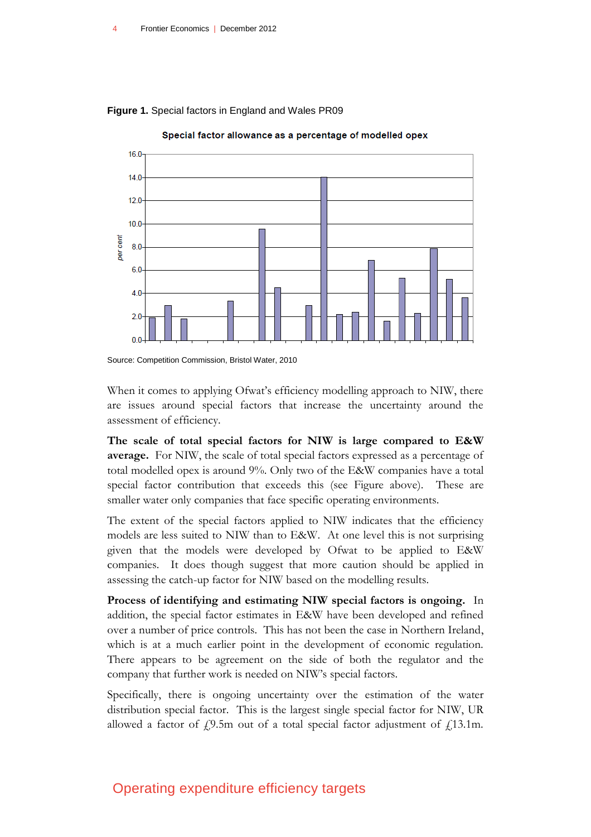

<span id="page-3-0"></span>**Figure 1.** Special factors in England and Wales PR09

Special factor allowance as a percentage of modelled opex

Source: Competition Commission, Bristol Water, 2010

When it comes to applying Ofwat's efficiency modelling approach to NIW, there are issues around special factors that increase the uncertainty around the assessment of efficiency.

**The scale of total special factors for NIW is large compared to E&W average.** For NIW, the scale of total special factors expressed as a percentage of total modelled opex is around 9%. Only two of the E&W companies have a total special factor contribution that exceeds this (see Figure above). These are smaller water only companies that face specific operating environments.

The extent of the special factors applied to NIW indicates that the efficiency models are less suited to NIW than to E&W. At one level this is not surprising given that the models were developed by Ofwat to be applied to E&W companies. It does though suggest that more caution should be applied in assessing the catch-up factor for NIW based on the modelling results.

**Process of identifying and estimating NIW special factors is ongoing.** In addition, the special factor estimates in E&W have been developed and refined over a number of price controls. This has not been the case in Northern Ireland, which is at a much earlier point in the development of economic regulation. There appears to be agreement on the side of both the regulator and the company that further work is needed on NIW's special factors.

Specifically, there is ongoing uncertainty over the estimation of the water distribution special factor. This is the largest single special factor for NIW, UR allowed a factor of  $f$ , 9.5m out of a total special factor adjustment of  $f$ , 13.1m.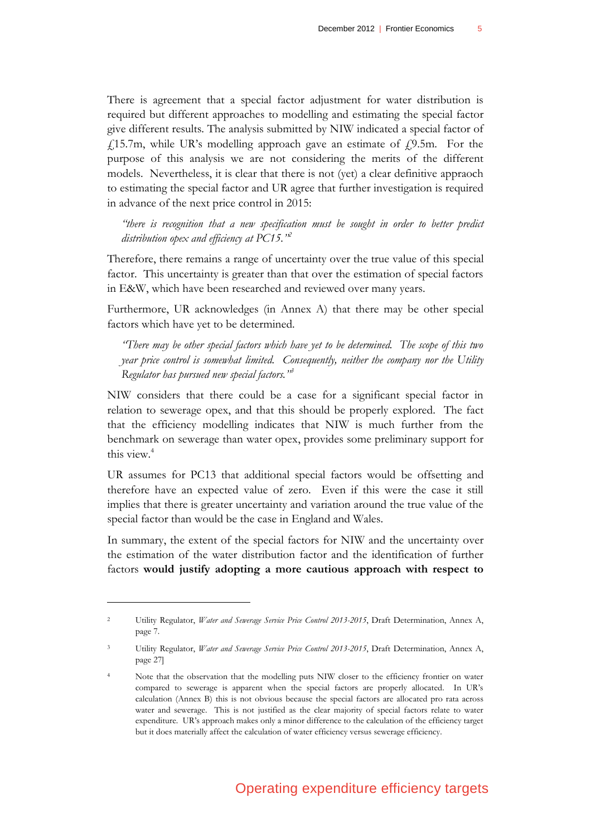There is agreement that a special factor adjustment for water distribution is required but different approaches to modelling and estimating the special factor give different results. The analysis submitted by NIW indicated a special factor of  $f<sub>1</sub>15.7m$ , while UR's modelling approach gave an estimate of  $f<sub>2</sub>9.5m$ . For the purpose of this analysis we are not considering the merits of the different models. Nevertheless, it is clear that there is not (yet) a clear definitive appraoch to estimating the special factor and UR agree that further investigation is required in advance of the next price control in 2015:

*"there is recognition that a new specification must be sought in order to better predict distribution opex and efficiency at PC15."<sup>2</sup>*

Therefore, there remains a range of uncertainty over the true value of this special factor. This uncertainty is greater than that over the estimation of special factors in E&W, which have been researched and reviewed over many years.

Furthermore, UR acknowledges (in Annex A) that there may be other special factors which have yet to be determined.

*"There may be other special factors which have yet to be determined. The scope of this two year price control is somewhat limited. Consequently, neither the company nor the Utility Regulator has pursued new special factors."<sup>3</sup>*

NIW considers that there could be a case for a significant special factor in relation to sewerage opex, and that this should be properly explored. The fact that the efficiency modelling indicates that NIW is much further from the benchmark on sewerage than water opex, provides some preliminary support for this view.<sup>4</sup>

UR assumes for PC13 that additional special factors would be offsetting and therefore have an expected value of zero. Even if this were the case it still implies that there is greater uncertainty and variation around the true value of the special factor than would be the case in England and Wales.

In summary, the extent of the special factors for NIW and the uncertainty over the estimation of the water distribution factor and the identification of further factors **would justify adopting a more cautious approach with respect to** 

<sup>2</sup> Utility Regulator, *Water and Sewerage Service Price Control 2013-2015*, Draft Determination, Annex A, page 7.

<sup>3</sup> Utility Regulator, *Water and Sewerage Service Price Control 2013-2015*, Draft Determination, Annex A, page 27]

<sup>4</sup> Note that the observation that the modelling puts NIW closer to the efficiency frontier on water compared to sewerage is apparent when the special factors are properly allocated. In UR's calculation (Annex B) this is not obvious because the special factors are allocated pro rata across water and sewerage. This is not justified as the clear majority of special factors relate to water expenditure. UR's approach makes only a minor difference to the calculation of the efficiency target but it does materially affect the calculation of water efficiency versus sewerage efficiency.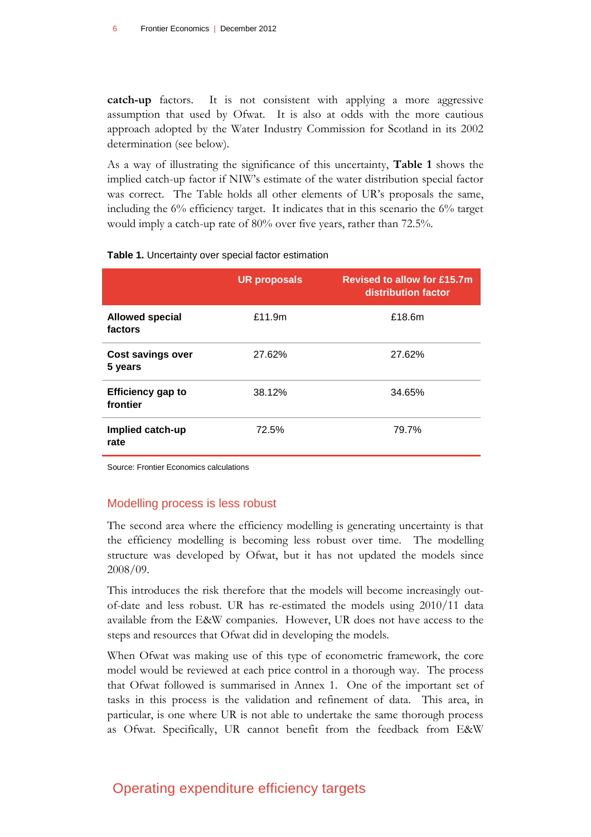**catch-up** factors. It is not consistent with applying a more aggressive assumption that used by Ofwat. It is also at odds with the more cautious approach adopted by the Water Industry Commission for Scotland in its 2002 determination (see below).

As a way of illustrating the significance of this uncertainty, **[Table 1](#page-5-0)** shows the implied catch-up factor if NIW's estimate of the water distribution special factor was correct. The Table holds all other elements of UR's proposals the same, including the 6% efficiency target. It indicates that in this scenario the 6% target would imply a catch-up rate of 80% over five years, rather than 72.5%.

|                                      | <b>UR proposals</b> | <b>Revised to allow for £15.7m</b><br>distribution factor |
|--------------------------------------|---------------------|-----------------------------------------------------------|
| <b>Allowed special</b><br>factors    | £11.9 $m$           | £18.6m                                                    |
| <b>Cost savings over</b><br>5 years  | 27.62%              | 27.62%                                                    |
| <b>Efficiency gap to</b><br>frontier | 38.12%              | 34.65%                                                    |
| Implied catch-up<br>rate             | 72.5%               | 79.7%                                                     |

#### <span id="page-5-0"></span>**Table 1.** Uncertainty over special factor estimation

Source: Frontier Economics calculations

#### Modelling process is less robust

The second area where the efficiency modelling is generating uncertainty is that the efficiency modelling is becoming less robust over time. The modelling structure was developed by Ofwat, but it has not updated the models since 2008/09.

This introduces the risk therefore that the models will become increasingly outof-date and less robust. UR has re-estimated the models using 2010/11 data available from the E&W companies. However, UR does not have access to the steps and resources that Ofwat did in developing the models.

When Ofwat was making use of this type of econometric framework, the core model would be reviewed at each price control in a thorough way. The process that Ofwat followed is summarised in Annex 1. One of the important set of tasks in this process is the validation and refinement of data. This area, in particular, is one where UR is not able to undertake the same thorough process as Ofwat. Specifically, UR cannot benefit from the feedback from E&W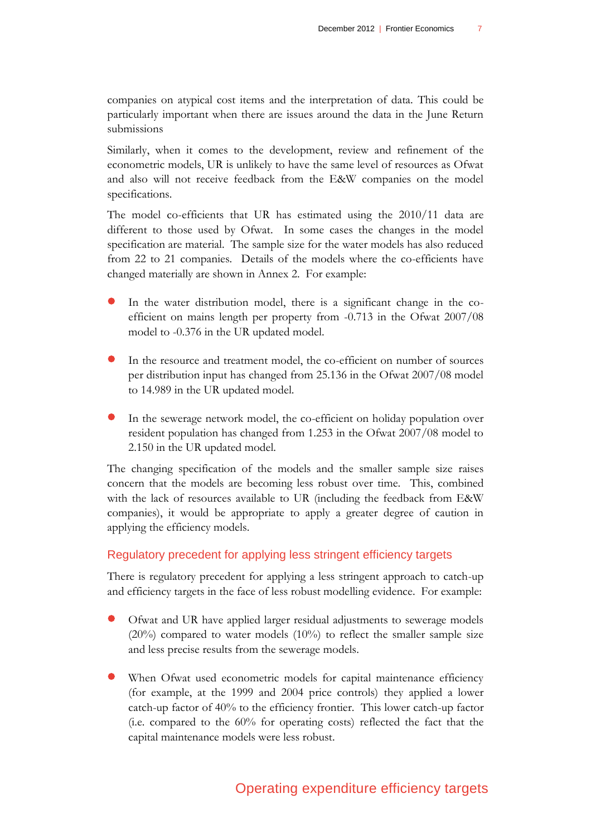companies on atypical cost items and the interpretation of data. This could be particularly important when there are issues around the data in the June Return submissions

Similarly, when it comes to the development, review and refinement of the econometric models, UR is unlikely to have the same level of resources as Ofwat and also will not receive feedback from the E&W companies on the model specifications.

The model co-efficients that UR has estimated using the 2010/11 data are different to those used by Ofwat. In some cases the changes in the model specification are material. The sample size for the water models has also reduced from 22 to 21 companies. Details of the models where the co-efficients have changed materially are shown in Annex 2. For example:

- In the water distribution model, there is a significant change in the coefficient on mains length per property from -0.713 in the Ofwat 2007/08 model to -0.376 in the UR updated model.
- In the resource and treatment model, the co-efficient on number of sources per distribution input has changed from 25.136 in the Ofwat 2007/08 model to 14.989 in the UR updated model.
- In the sewerage network model, the co-efficient on holiday population over resident population has changed from 1.253 in the Ofwat 2007/08 model to 2.150 in the UR updated model.

The changing specification of the models and the smaller sample size raises concern that the models are becoming less robust over time. This, combined with the lack of resources available to UR (including the feedback from E&W companies), it would be appropriate to apply a greater degree of caution in applying the efficiency models.

## Regulatory precedent for applying less stringent efficiency targets

There is regulatory precedent for applying a less stringent approach to catch-up and efficiency targets in the face of less robust modelling evidence. For example:

- Ofwat and UR have applied larger residual adjustments to sewerage models (20%) compared to water models (10%) to reflect the smaller sample size and less precise results from the sewerage models.
- When Ofwat used econometric models for capital maintenance efficiency (for example, at the 1999 and 2004 price controls) they applied a lower catch-up factor of 40% to the efficiency frontier. This lower catch-up factor (i.e. compared to the 60% for operating costs) reflected the fact that the capital maintenance models were less robust.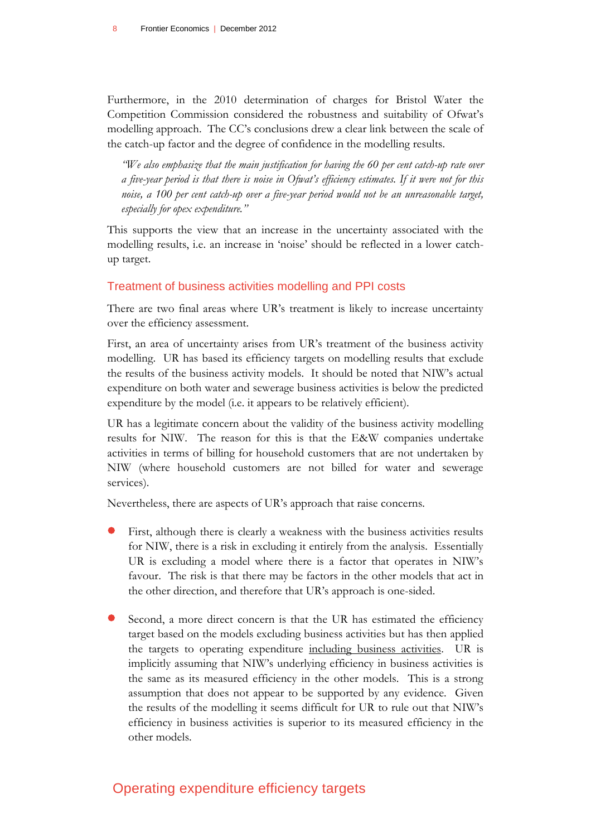Furthermore, in the 2010 determination of charges for Bristol Water the Competition Commission considered the robustness and suitability of Ofwat's modelling approach. The CC's conclusions drew a clear link between the scale of the catch-up factor and the degree of confidence in the modelling results.

*"We also emphasize that the main justification for having the 60 per cent catch-up rate over a five-year period is that there is noise in Ofwat's efficiency estimates. If it were not for this noise, a 100 per cent catch-up over a five-year period would not be an unreasonable target, especially for opex expenditure."*

This supports the view that an increase in the uncertainty associated with the modelling results, i.e. an increase in 'noise' should be reflected in a lower catchup target.

#### Treatment of business activities modelling and PPI costs

There are two final areas where UR's treatment is likely to increase uncertainty over the efficiency assessment.

First, an area of uncertainty arises from UR's treatment of the business activity modelling. UR has based its efficiency targets on modelling results that exclude the results of the business activity models. It should be noted that NIW's actual expenditure on both water and sewerage business activities is below the predicted expenditure by the model (i.e. it appears to be relatively efficient).

UR has a legitimate concern about the validity of the business activity modelling results for NIW. The reason for this is that the E&W companies undertake activities in terms of billing for household customers that are not undertaken by NIW (where household customers are not billed for water and sewerage services).

Nevertheless, there are aspects of UR's approach that raise concerns.

- First, although there is clearly a weakness with the business activities results for NIW, there is a risk in excluding it entirely from the analysis. Essentially UR is excluding a model where there is a factor that operates in NIW's favour. The risk is that there may be factors in the other models that act in the other direction, and therefore that UR's approach is one-sided.
- Second, a more direct concern is that the UR has estimated the efficiency target based on the models excluding business activities but has then applied the targets to operating expenditure including business activities. UR is implicitly assuming that NIW's underlying efficiency in business activities is the same as its measured efficiency in the other models. This is a strong assumption that does not appear to be supported by any evidence. Given the results of the modelling it seems difficult for UR to rule out that NIW's efficiency in business activities is superior to its measured efficiency in the other models.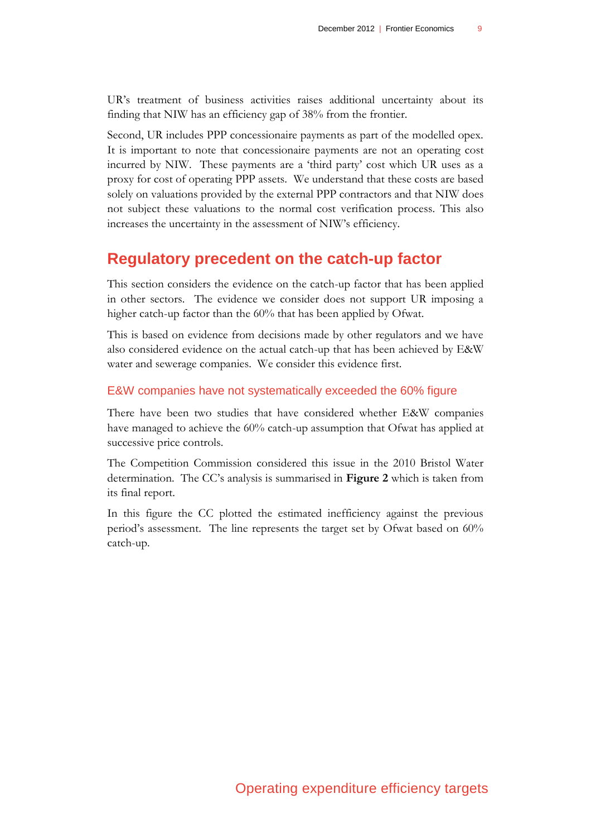UR's treatment of business activities raises additional uncertainty about its finding that NIW has an efficiency gap of 38% from the frontier.

Second, UR includes PPP concessionaire payments as part of the modelled opex. It is important to note that concessionaire payments are not an operating cost incurred by NIW. These payments are a 'third party' cost which UR uses as a proxy for cost of operating PPP assets. We understand that these costs are based solely on valuations provided by the external PPP contractors and that NIW does not subject these valuations to the normal cost verification process. This also increases the uncertainty in the assessment of NIW's efficiency.

# **Regulatory precedent on the catch-up factor**

This section considers the evidence on the catch-up factor that has been applied in other sectors. The evidence we consider does not support UR imposing a higher catch-up factor than the 60% that has been applied by Ofwat.

This is based on evidence from decisions made by other regulators and we have also considered evidence on the actual catch-up that has been achieved by E&W water and sewerage companies. We consider this evidence first.

#### E&W companies have not systematically exceeded the 60% figure

There have been two studies that have considered whether E&W companies have managed to achieve the 60% catch-up assumption that Ofwat has applied at successive price controls.

The Competition Commission considered this issue in the 2010 Bristol Water determination. The CC's analysis is summarised in **[Figure 2](#page-9-0)** which is taken from its final report.

In this figure the CC plotted the estimated inefficiency against the previous period's assessment. The line represents the target set by Ofwat based on 60% catch-up.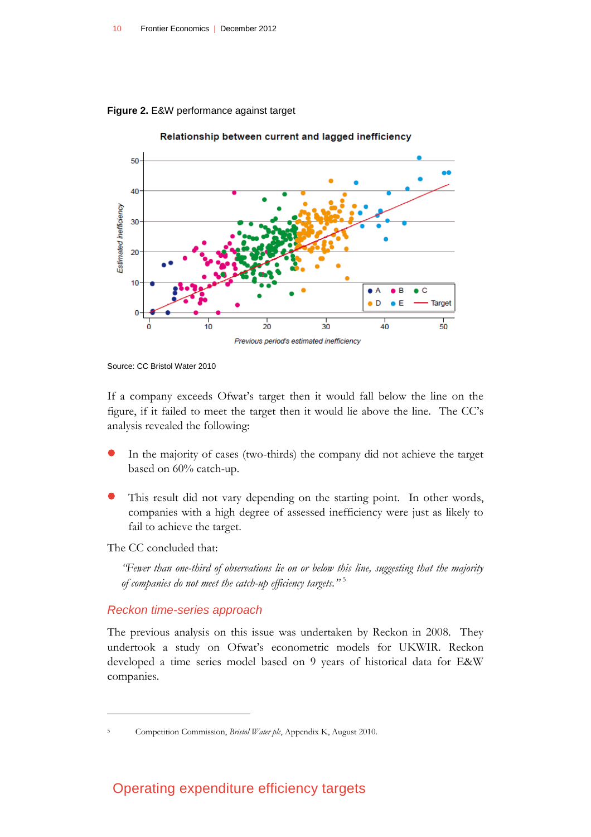<span id="page-9-0"></span>**Figure 2.** E&W performance against target



Source: CC Bristol Water 2010

If a company exceeds Ofwat's target then it would fall below the line on the figure, if it failed to meet the target then it would lie above the line. The CC's analysis revealed the following:

- In the majority of cases (two-thirds) the company did not achieve the target based on 60% catch-up.
- This result did not vary depending on the starting point. In other words, companies with a high degree of assessed inefficiency were just as likely to fail to achieve the target.

The CC concluded that:

*"Fewer than one-third of observations lie on or below this line, suggesting that the majority of companies do not meet the catch-up efficiency targets."* 5

#### *Reckon time-series approach*

The previous analysis on this issue was undertaken by Reckon in 2008. They undertook a study on Ofwat's econometric models for UKWIR. Reckon developed a time series model based on 9 years of historical data for E&W companies.

<sup>5</sup> Competition Commission, *Bristol Water plc*, Appendix K, August 2010.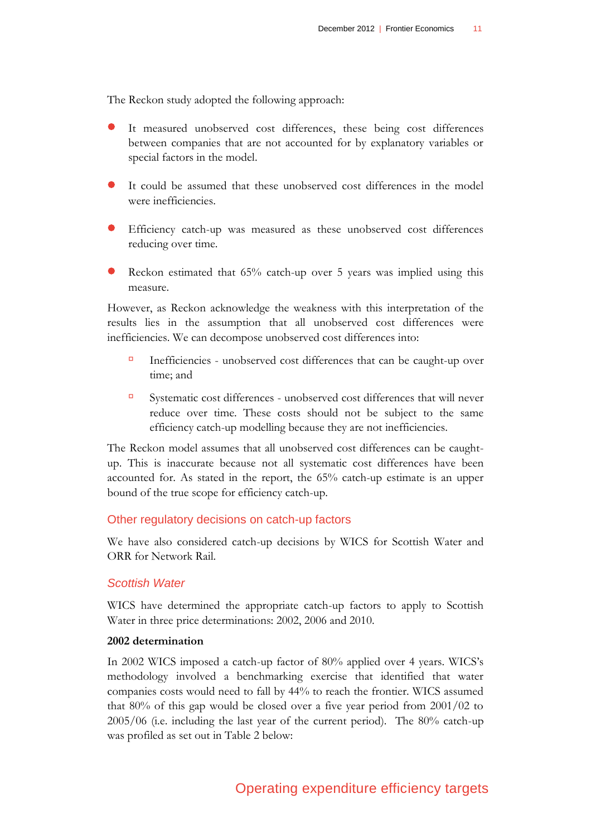The Reckon study adopted the following approach:

- It measured unobserved cost differences, these being cost differences between companies that are not accounted for by explanatory variables or special factors in the model.
- It could be assumed that these unobserved cost differences in the model were inefficiencies.
- Efficiency catch-up was measured as these unobserved cost differences reducing over time.
- Reckon estimated that 65% catch-up over 5 years was implied using this measure.

However, as Reckon acknowledge the weakness with this interpretation of the results lies in the assumption that all unobserved cost differences were inefficiencies. We can decompose unobserved cost differences into:

- Inefficiencies unobserved cost differences that can be caught-up over time; and
- Systematic cost differences unobserved cost differences that will never reduce over time. These costs should not be subject to the same efficiency catch-up modelling because they are not inefficiencies.

The Reckon model assumes that all unobserved cost differences can be caughtup. This is inaccurate because not all systematic cost differences have been accounted for. As stated in the report, the 65% catch-up estimate is an upper bound of the true scope for efficiency catch-up.

#### Other regulatory decisions on catch-up factors

We have also considered catch-up decisions by WICS for Scottish Water and ORR for Network Rail.

#### *Scottish Water*

WICS have determined the appropriate catch-up factors to apply to Scottish Water in three price determinations: 2002, 2006 and 2010.

#### **2002 determination**

In 2002 WICS imposed a catch-up factor of 80% applied over 4 years. WICS's methodology involved a benchmarking exercise that identified that water companies costs would need to fall by 44% to reach the frontier. WICS assumed that 80% of this gap would be closed over a five year period from 2001/02 to 2005/06 (i.e. including the last year of the current period). The 80% catch-up was profiled as set out in Table 2 below: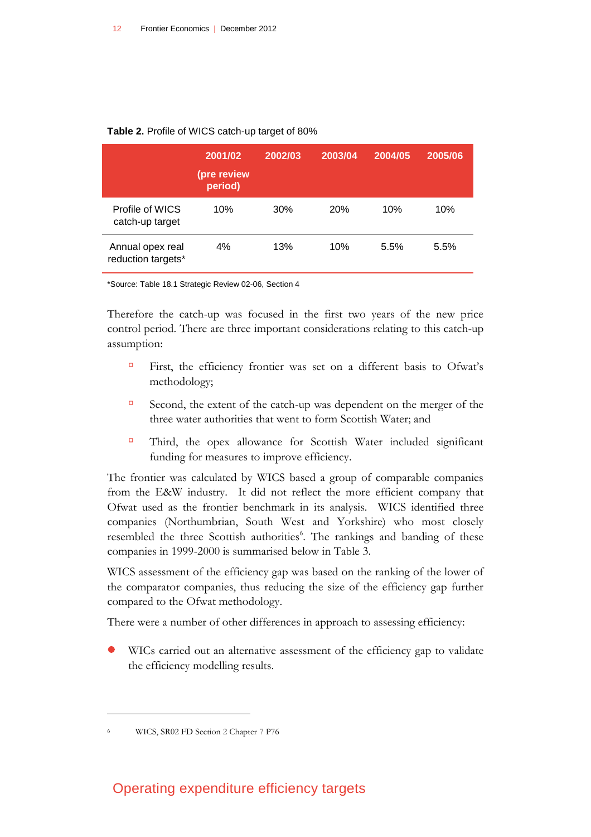|                                        | 2001/02<br>(pre review<br>period) | 2002/03 | 2003/04    | 2004/05 | 2005/06 |
|----------------------------------------|-----------------------------------|---------|------------|---------|---------|
| Profile of WICS<br>catch-up target     | 10%                               | 30%     | <b>20%</b> | 10%     | 10%     |
| Annual opex real<br>reduction targets* | 4%                                | 13%     | 10%        | 5.5%    | 5.5%    |

#### **Table 2.** Profile of WICS catch-up target of 80%

\*Source: Table 18.1 Strategic Review 02-06, Section 4

Therefore the catch-up was focused in the first two years of the new price control period. There are three important considerations relating to this catch-up assumption:

- First, the efficiency frontier was set on a different basis to Ofwat's methodology;
- Second, the extent of the catch-up was dependent on the merger of the three water authorities that went to form Scottish Water; and
- Third, the opex allowance for Scottish Water included significant funding for measures to improve efficiency.

The frontier was calculated by WICS based a group of comparable companies from the E&W industry. It did not reflect the more efficient company that Ofwat used as the frontier benchmark in its analysis. WICS identified three companies (Northumbrian, South West and Yorkshire) who most closely resembled the three Scottish authorities<sup>6</sup>. The rankings and banding of these companies in 1999-2000 is summarised below in Table 3.

WICS assessment of the efficiency gap was based on the ranking of the lower of the comparator companies, thus reducing the size of the efficiency gap further compared to the Ofwat methodology.

There were a number of other differences in approach to assessing efficiency:

 WICs carried out an alternative assessment of the efficiency gap to validate the efficiency modelling results.

 $\overline{a}$ 

<sup>6</sup> WICS, SR02 FD Section 2 Chapter 7 P76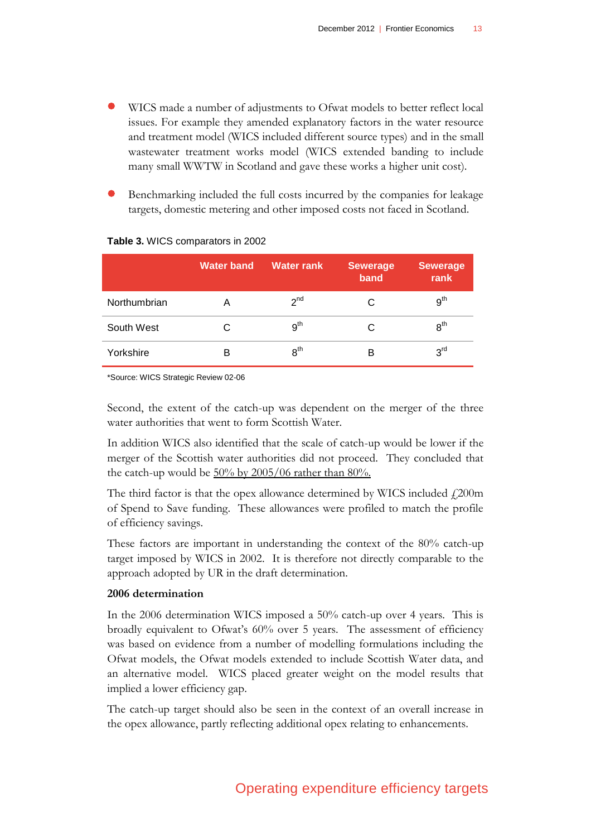- WICS made a number of adjustments to Ofwat models to better reflect local issues. For example they amended explanatory factors in the water resource and treatment model (WICS included different source types) and in the small wastewater treatment works model (WICS extended banding to include many small WWTW in Scotland and gave these works a higher unit cost).
- Benchmarking included the full costs incurred by the companies for leakage targets, domestic metering and other imposed costs not faced in Scotland.

|              | <b>Water band</b> | <b>Water rank</b> | <b>Sewerage</b><br>band | <b>Sewerage</b><br>rank |
|--------------|-------------------|-------------------|-------------------------|-------------------------|
| Northumbrian | Α                 | 2 <sup>nd</sup>   |                         | 9 <sup>th</sup>         |
| South West   | С                 | 9 <sup>th</sup>   | C                       | 8 <sup>th</sup>         |
| Yorkshire    | в                 | 8 <sup>th</sup>   | в                       | 3 <sup>rd</sup>         |

#### **Table 3.** WICS comparators in 2002

\*Source: WICS Strategic Review 02-06

Second, the extent of the catch-up was dependent on the merger of the three water authorities that went to form Scottish Water.

In addition WICS also identified that the scale of catch-up would be lower if the merger of the Scottish water authorities did not proceed. They concluded that the catch-up would be  $50\%$  by  $2005/06$  rather than  $80\%$ .

The third factor is that the opex allowance determined by WICS included  $f$ , 200m of Spend to Save funding. These allowances were profiled to match the profile of efficiency savings.

These factors are important in understanding the context of the 80% catch-up target imposed by WICS in 2002. It is therefore not directly comparable to the approach adopted by UR in the draft determination.

#### **2006 determination**

In the 2006 determination WICS imposed a 50% catch-up over 4 years. This is broadly equivalent to Ofwat's 60% over 5 years. The assessment of efficiency was based on evidence from a number of modelling formulations including the Ofwat models, the Ofwat models extended to include Scottish Water data, and an alternative model. WICS placed greater weight on the model results that implied a lower efficiency gap.

The catch-up target should also be seen in the context of an overall increase in the opex allowance, partly reflecting additional opex relating to enhancements.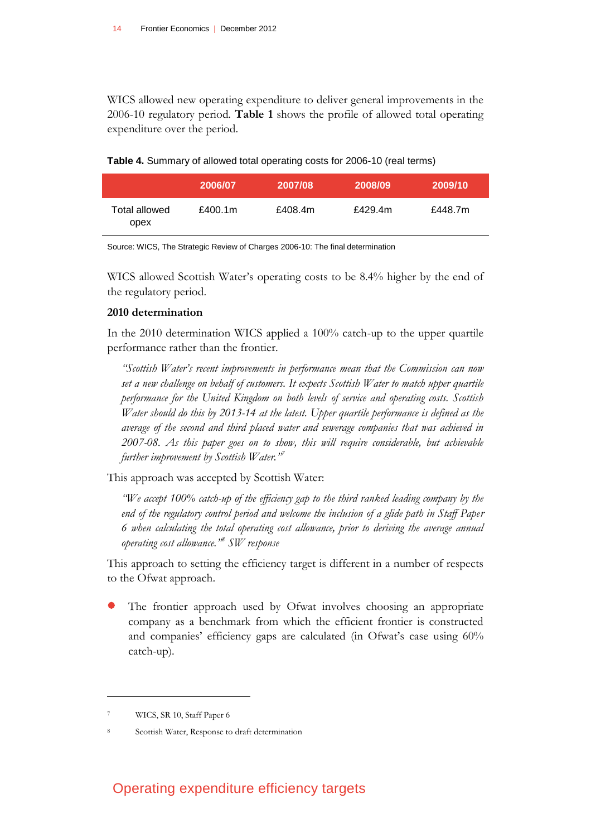WICS allowed new operating expenditure to deliver general improvements in the 2006-10 regulatory period. **[Table 1](#page-5-0)** shows the profile of allowed total operating expenditure over the period.

| Table 4. Summary of allowed total operating costs for 2006-10 (real terms) |  |  |  |  |
|----------------------------------------------------------------------------|--|--|--|--|
|----------------------------------------------------------------------------|--|--|--|--|

|                       | 2006/07 | 2007/08 | 2008/09 | 2009/10 |
|-----------------------|---------|---------|---------|---------|
| Total allowed<br>opex | £400.1m | £408.4m | £429.4m | £448.7m |

Source: WICS, The Strategic Review of Charges 2006-10: The final determination

WICS allowed Scottish Water's operating costs to be 8.4% higher by the end of the regulatory period.

#### **2010 determination**

In the 2010 determination WICS applied a 100% catch-up to the upper quartile performance rather than the frontier.

*"Scottish Water's recent improvements in performance mean that the Commission can now set a new challenge on behalf of customers. It expects Scottish Water to match upper quartile performance for the United Kingdom on both levels of service and operating costs. Scottish Water should do this by 2013-14 at the latest. Upper quartile performance is defined as the average of the second and third placed water and sewerage companies that was achieved in 2007-08. As this paper goes on to show, this will require considerable, but achievable further improvement by Scottish Water."<sup>7</sup>*

This approach was accepted by Scottish Water:

*"We accept 100% catch-up of the efficiency gap to the third ranked leading company by the end of the regulatory control period and welcome the inclusion of a glide path in Staff Paper 6 when calculating the total operating cost allowance, prior to deriving the average annual operating cost allowance."<sup>8</sup> SW response*

This approach to setting the efficiency target is different in a number of respects to the Ofwat approach.

 The frontier approach used by Ofwat involves choosing an appropriate company as a benchmark from which the efficient frontier is constructed and companies' efficiency gaps are calculated (in Ofwat's case using 60% catch-up).

WICS, SR 10, Staff Paper 6

Scottish Water, Response to draft determination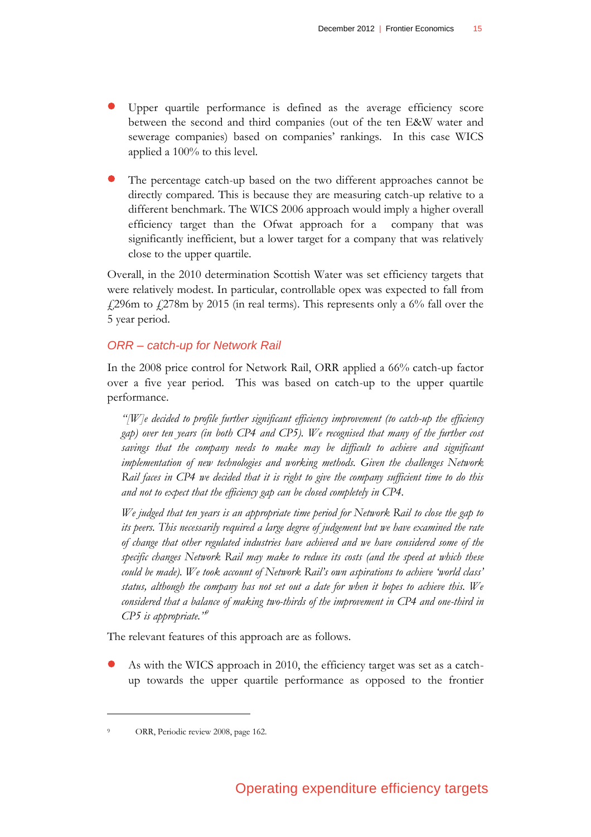- Upper quartile performance is defined as the average efficiency score between the second and third companies (out of the ten E&W water and sewerage companies) based on companies' rankings. In this case WICS applied a 100% to this level.
- The percentage catch-up based on the two different approaches cannot be directly compared. This is because they are measuring catch-up relative to a different benchmark. The WICS 2006 approach would imply a higher overall efficiency target than the Ofwat approach for a company that was significantly inefficient, but a lower target for a company that was relatively close to the upper quartile.

Overall, in the 2010 determination Scottish Water was set efficiency targets that were relatively modest. In particular, controllable opex was expected to fall from  $\text{\emph{1}}296$ m to  $\text{\emph{1}}278$ m by 2015 (in real terms). This represents only a 6% fall over the 5 year period.

### *ORR – catch-up for Network Rail*

In the 2008 price control for Network Rail, ORR applied a 66% catch-up factor over a five year period. This was based on catch-up to the upper quartile performance.

*"[W]e decided to profile further significant efficiency improvement (to catch-up the efficiency gap) over ten years (in both CP4 and CP5). We recognised that many of the further cost savings that the company needs to make may be difficult to achieve and significant implementation of new technologies and working methods. Given the challenges Network Rail faces in CP4 we decided that it is right to give the company sufficient time to do this and not to expect that the efficiency gap can be closed completely in CP4.*

*We judged that ten years is an appropriate time period for Network Rail to close the gap to its peers. This necessarily required a large degree of judgement but we have examined the rate of change that other regulated industries have achieved and we have considered some of the specific changes Network Rail may make to reduce its costs (and the speed at which these could be made). We took account of Network Rail's own aspirations to achieve 'world class' status, although the company has not set out a date for when it hopes to achieve this. We*  considered that a balance of making two-thirds of the improvement in CP4 and one-third in *CP5 is appropriate."<sup>9</sup>*

The relevant features of this approach are as follows.

 As with the WICS approach in 2010, the efficiency target was set as a catchup towards the upper quartile performance as opposed to the frontier

ORR, Periodic review 2008, page 162.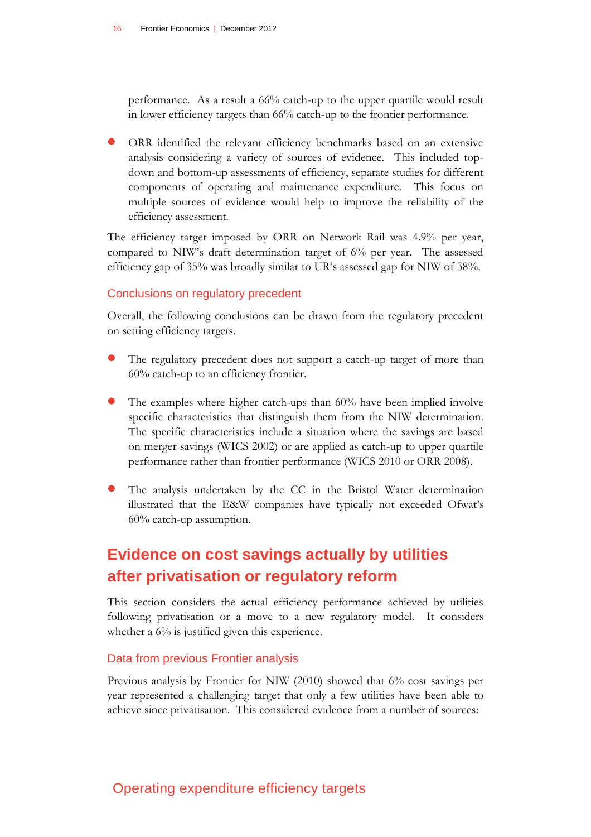performance. As a result a 66% catch-up to the upper quartile would result in lower efficiency targets than 66% catch-up to the frontier performance.

 ORR identified the relevant efficiency benchmarks based on an extensive analysis considering a variety of sources of evidence. This included topdown and bottom-up assessments of efficiency, separate studies for different components of operating and maintenance expenditure. This focus on multiple sources of evidence would help to improve the reliability of the efficiency assessment.

The efficiency target imposed by ORR on Network Rail was 4.9% per year, compared to NIW's draft determination target of 6% per year. The assessed efficiency gap of 35% was broadly similar to UR's assessed gap for NIW of 38%.

#### Conclusions on regulatory precedent

Overall, the following conclusions can be drawn from the regulatory precedent on setting efficiency targets.

- The regulatory precedent does not support a catch-up target of more than 60% catch-up to an efficiency frontier.
- The examples where higher catch-ups than 60% have been implied involve specific characteristics that distinguish them from the NIW determination. The specific characteristics include a situation where the savings are based on merger savings (WICS 2002) or are applied as catch-up to upper quartile performance rather than frontier performance (WICS 2010 or ORR 2008).
- The analysis undertaken by the CC in the Bristol Water determination illustrated that the E&W companies have typically not exceeded Ofwat's 60% catch-up assumption.

# **Evidence on cost savings actually by utilities after privatisation or regulatory reform**

This section considers the actual efficiency performance achieved by utilities following privatisation or a move to a new regulatory model. It considers whether a  $6\%$  is justified given this experience.

#### Data from previous Frontier analysis

Previous analysis by Frontier for NIW (2010) showed that 6% cost savings per year represented a challenging target that only a few utilities have been able to achieve since privatisation. This considered evidence from a number of sources: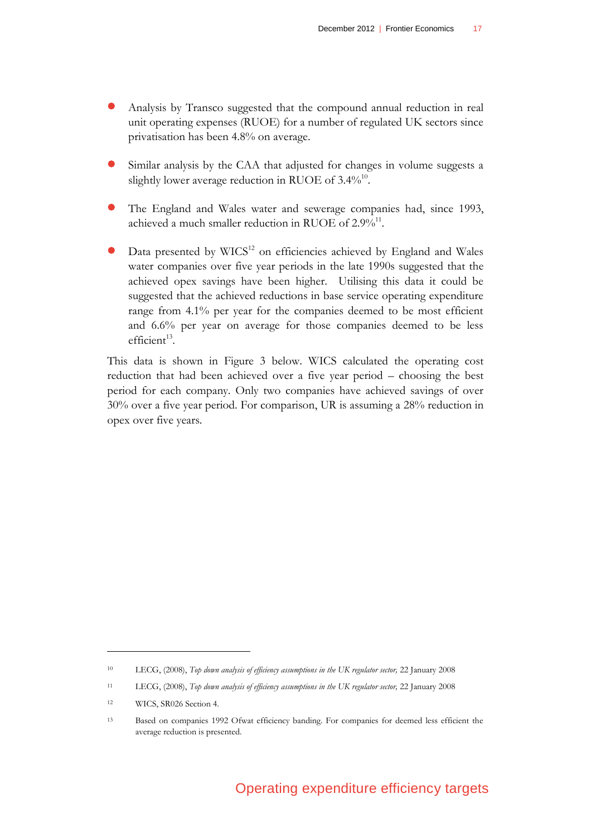- Analysis by Transco suggested that the compound annual reduction in real unit operating expenses (RUOE) for a number of regulated UK sectors since privatisation has been 4.8% on average.
- Similar analysis by the CAA that adjusted for changes in volume suggests a slightly lower average reduction in RUOE of  $3.4\%^{10}$ .
- The England and Wales water and sewerage companies had, since 1993, achieved a much smaller reduction in RUOE of  $2.9\%^{11}$ .
- Data presented by WICS<sup>12</sup> on efficiencies achieved by England and Wales water companies over five year periods in the late 1990s suggested that the achieved opex savings have been higher. Utilising this data it could be suggested that the achieved reductions in base service operating expenditure range from 4.1% per year for the companies deemed to be most efficient and 6.6% per year on average for those companies deemed to be less  $efficient<sup>13</sup>$ .

This data is shown in Figure 3 below. WICS calculated the operating cost reduction that had been achieved over a five year period – choosing the best period for each company. Only two companies have achieved savings of over 30% over a five year period. For comparison, UR is assuming a 28% reduction in opex over five years.

<sup>10</sup> LECG, (2008), *Top down analysis of efficiency assumptions in the UK regulator sector,* 22 January 2008

<sup>11</sup> LECG, (2008), *Top down analysis of efficiency assumptions in the UK regulator sector,* 22 January 2008

<sup>12</sup> WICS, SR026 Section 4.

<sup>13</sup> Based on companies 1992 Ofwat efficiency banding. For companies for deemed less efficient the average reduction is presented.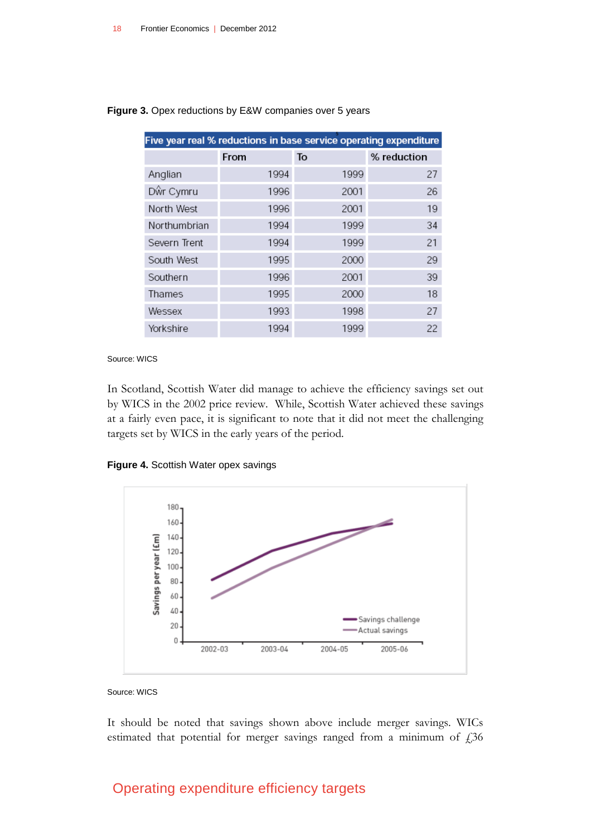| Five year real % reductions in base service operating expenditure |      |      |             |
|-------------------------------------------------------------------|------|------|-------------|
|                                                                   | From | To   | % reduction |
| Anglian                                                           | 1994 | 1999 | 27          |
| Dŵr Cymru                                                         | 1996 | 2001 | 26          |
| North West                                                        | 1996 | 2001 | 19          |
| Northumbrian                                                      | 1994 | 1999 | 34          |
| Severn Trent                                                      | 1994 | 1999 | 21          |
| South West                                                        | 1995 | 2000 | 29          |
| Southern                                                          | 1996 | 2001 | 39          |
| Thames                                                            | 1995 | 2000 | 18          |
| Wessex                                                            | 1993 | 1998 | 27          |
| Yorkshire                                                         | 1994 | 1999 | 22          |

**Figure 3.** Opex reductions by E&W companies over 5 years

#### Source: WICS

In Scotland, Scottish Water did manage to achieve the efficiency savings set out by WICS in the 2002 price review. While, Scottish Water achieved these savings at a fairly even pace, it is significant to note that it did not meet the challenging targets set by WICS in the early years of the period.

#### **Figure 4.** Scottish Water opex savings



Source: WICS

It should be noted that savings shown above include merger savings. WICs estimated that potential for merger savings ranged from a minimum of  $\text{\emph{f}}36$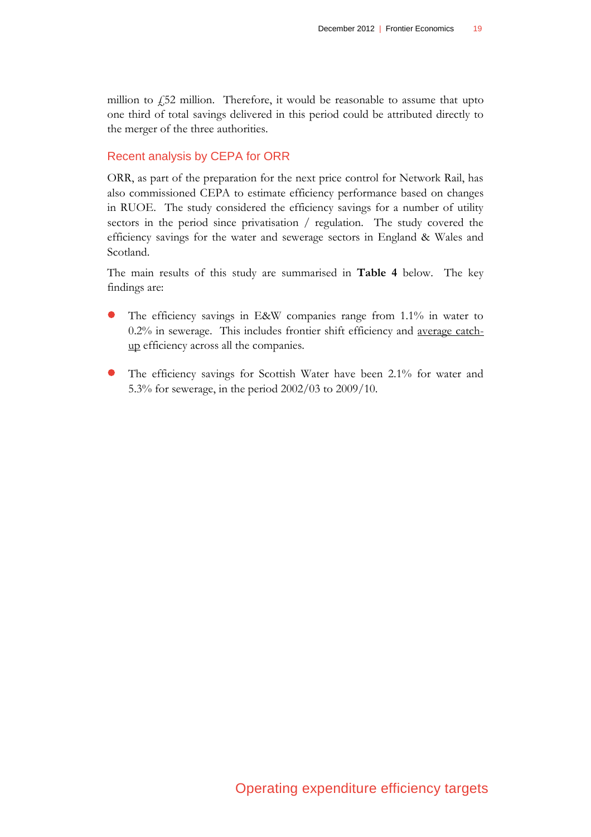million to  $\frac{1}{2}$  million. Therefore, it would be reasonable to assume that upto one third of total savings delivered in this period could be attributed directly to the merger of the three authorities.

#### Recent analysis by CEPA for ORR

ORR, as part of the preparation for the next price control for Network Rail, has also commissioned CEPA to estimate efficiency performance based on changes in RUOE. The study considered the efficiency savings for a number of utility sectors in the period since privatisation / regulation. The study covered the efficiency savings for the water and sewerage sectors in England & Wales and Scotland.

The main results of this study are summarised in **Table 4** below. The key findings are:

- The efficiency savings in E&W companies range from 1.1% in water to 0.2% in sewerage. This includes frontier shift efficiency and average catchup efficiency across all the companies.
- The efficiency savings for Scottish Water have been 2.1% for water and 5.3% for sewerage, in the period 2002/03 to 2009/10.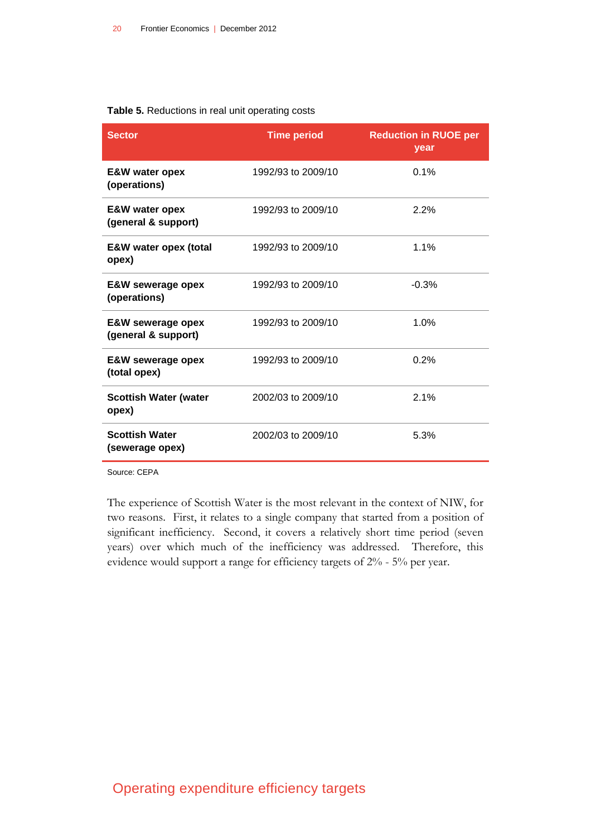#### **Table 5.** Reductions in real unit operating costs

| <b>Sector</b>                                       | <b>Time period</b> | <b>Reduction in RUOE per</b><br>year |
|-----------------------------------------------------|--------------------|--------------------------------------|
| <b>E&amp;W</b> water opex<br>(operations)           | 1992/93 to 2009/10 | 0.1%                                 |
| <b>E&amp;W</b> water opex<br>(general & support)    | 1992/93 to 2009/10 | 2.2%                                 |
| E&W water opex (total<br>opex)                      | 1992/93 to 2009/10 | 1.1%                                 |
| <b>E&amp;W sewerage opex</b><br>(operations)        | 1992/93 to 2009/10 | $-0.3%$                              |
| <b>E&amp;W sewerage opex</b><br>(general & support) | 1992/93 to 2009/10 | 1.0%                                 |
| <b>E&amp;W sewerage opex</b><br>(total opex)        | 1992/93 to 2009/10 | 0.2%                                 |
| <b>Scottish Water (water</b><br>opex)               | 2002/03 to 2009/10 | 2.1%                                 |
| <b>Scottish Water</b><br>(sewerage opex)            | 2002/03 to 2009/10 | 5.3%                                 |

Source: CEPA

The experience of Scottish Water is the most relevant in the context of NIW, for two reasons. First, it relates to a single company that started from a position of significant inefficiency. Second, it covers a relatively short time period (seven years) over which much of the inefficiency was addressed. Therefore, this evidence would support a range for efficiency targets of 2% - 5% per year.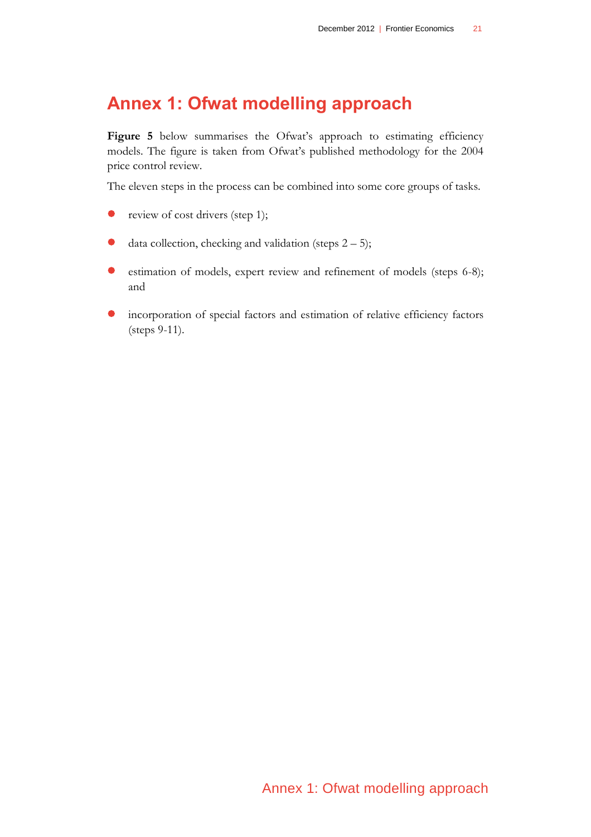# **Annex 1: Ofwat modelling approach**

[Figure 5](#page-21-0) below summarises the Ofwat's approach to estimating efficiency models. The figure is taken from Ofwat's published methodology for the 2004 price control review.

The eleven steps in the process can be combined into some core groups of tasks.

- review of cost drivers (step 1);
- data collection, checking and validation (steps  $2 5$ );
- estimation of models, expert review and refinement of models (steps 6-8); and
- incorporation of special factors and estimation of relative efficiency factors (steps 9-11).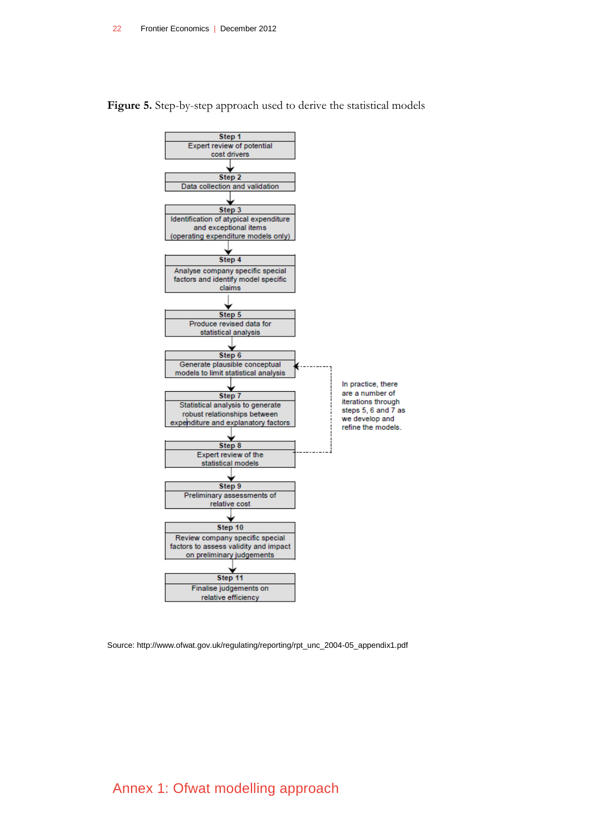

<span id="page-21-0"></span>**Figure 5.** Step-by-step approach used to derive the statistical models

Source: http://www.ofwat.gov.uk/regulating/reporting/rpt\_unc\_2004-05\_appendix1.pdf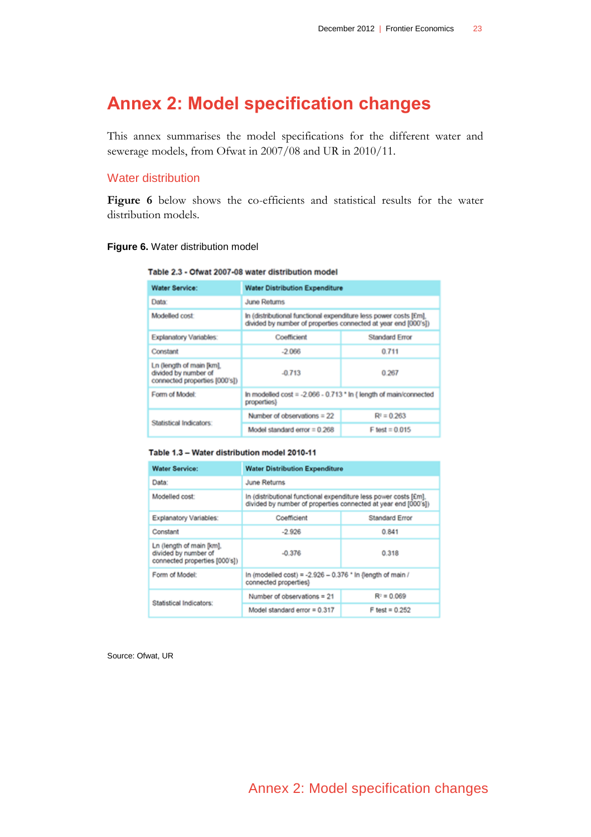# **Annex 2: Model specification changes**

This annex summarises the model specifications for the different water and sewerage models, from Ofwat in 2007/08 and UR in 2010/11.

### Water distribution

**[Figure 6](#page-22-0)** below shows the co-efficients and statistical results for the water distribution models.

#### <span id="page-22-0"></span>**Figure 6.** Water distribution model

#### Table 2.3 - Ofwat 2007-08 water distribution model

| <b>Water Service:</b>                                                            | <b>Water Distribution Expenditure</b>                                                                                              |                       |  |
|----------------------------------------------------------------------------------|------------------------------------------------------------------------------------------------------------------------------------|-----------------------|--|
| Data:                                                                            | June Returns                                                                                                                       |                       |  |
| Modelled cost:                                                                   | In (distributional functional expenditure less power costs [£m],<br>divided by number of properties connected at year end [000's]) |                       |  |
| <b>Explanatory Variables:</b>                                                    | Coefficient                                                                                                                        | <b>Standard Error</b> |  |
| Constant                                                                         | $-2066$                                                                                                                            | 0.711                 |  |
| Ln (length of main [km]<br>divided by number of<br>connected properties [000's]) | $-0.713$                                                                                                                           | 0.267                 |  |
| Form of Model:                                                                   | In modelled $cost = -2.066 - 0.713$ * In { length of main/connected<br>properties)                                                 |                       |  |
|                                                                                  | Number of observations $= 22$                                                                                                      | $R2 = 0.263$          |  |
| Statistical Indicators:                                                          | Model standard error $= 0.268$                                                                                                     | $F$ test = 0.015      |  |

#### Table 1.3 - Water distribution model 2010-11

| <b>Water Service:</b>                                                             | <b>Water Distribution Expenditure</b>                                                                                              |                       |  |
|-----------------------------------------------------------------------------------|------------------------------------------------------------------------------------------------------------------------------------|-----------------------|--|
| Data:                                                                             | June Returns                                                                                                                       |                       |  |
| Modelled cost:                                                                    | In (distributional functional expenditure less power costs [£m].<br>divided by number of properties connected at year end [000's]) |                       |  |
| Explanatory Variables:                                                            | Coefficient                                                                                                                        | <b>Standard Error</b> |  |
| Constant                                                                          | $-2.926$                                                                                                                           | 0.841                 |  |
| Ln (length of main [km],<br>divided by number of<br>connected properties (000's)) | $-0.376$                                                                                                                           | 0.318                 |  |
| Form of Model:                                                                    | In (modelled cost) = -2.926 - 0.376 * In (length of main /<br>connected properties)                                                |                       |  |
| Statistical Indicators:                                                           | Number of observations = 21                                                                                                        | $R^{\pm} = 0.069$     |  |
|                                                                                   | Model standard error = $0.317$                                                                                                     | $F$ test = 0.252      |  |

Source: Ofwat, UR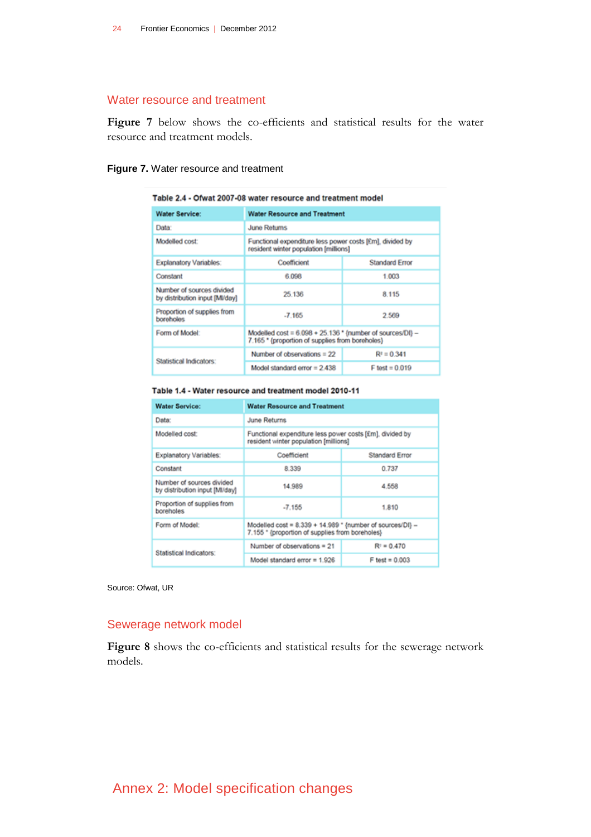#### Water resource and treatment

**[Figure 7](#page-23-0)** below shows the co-efficients and statistical results for the water resource and treatment models.

#### <span id="page-23-0"></span>**Figure 7.** Water resource and treatment

| Table 2.4 - Ofwat 2007-08 water resource and treatment model |                                                                                                                  |                                     |  |  |
|--------------------------------------------------------------|------------------------------------------------------------------------------------------------------------------|-------------------------------------|--|--|
| <b>Water Service:</b>                                        |                                                                                                                  | <b>Water Resource and Treatment</b> |  |  |
| Data:                                                        | <b>June Returns</b>                                                                                              |                                     |  |  |
| Modelled cost:                                               | Functional expenditure less power costs [£m], divided by<br>resident winter population [millions]                |                                     |  |  |
| <b>Explanatory Variables:</b>                                | Coefficient                                                                                                      | <b>Standard Error</b>               |  |  |
| Constant                                                     | 6.098                                                                                                            | 1.003                               |  |  |
| Number of sources divided<br>by distribution input [MI/day]  | 25 136                                                                                                           | 8.115                               |  |  |
| Proportion of supplies from<br><b>boreholes</b>              | $-7.165$                                                                                                         | 2.569                               |  |  |
| Form of Model:                                               | Modelled $\cos t = 6.098 + 25.136$ * {number of sources/DI} -<br>7.165 * {proportion of supplies from boreholes} |                                     |  |  |
| Statistical Indicators:                                      | Number of observations $= 22$                                                                                    | $R^2 = 0.341$                       |  |  |
|                                                              | Model standard error = $2.438$                                                                                   | $F$ test = 0.019                    |  |  |

#### Table 1.4 - Water resource and treatment model 2010-11

| <b>Water Service:</b>                                       | <b>Water Resource and Treatment</b>                                                                          |                       |  |
|-------------------------------------------------------------|--------------------------------------------------------------------------------------------------------------|-----------------------|--|
| Data:                                                       | June Returns                                                                                                 |                       |  |
| Modelled cost:                                              | Functional expenditure less power costs [£m], divided by<br>resident winter population [millions]            |                       |  |
| Explanatory Variables:                                      | Coefficient                                                                                                  | <b>Standard Error</b> |  |
| Constant                                                    | 8.339                                                                                                        | 0.737                 |  |
| Number of sources divided<br>by distribution input [MI/day] | 14.989                                                                                                       | 4.558                 |  |
| Proportion of supplies from<br>boreholes                    | $-7.155$                                                                                                     | 1.810                 |  |
| Form of Model:                                              | Modelled cost = 8.339 + 14.989 * {number of sources/DI} -<br>7.155 * (proportion of supplies from boreholes) |                       |  |
|                                                             | Number of observations = 21                                                                                  | $R3 = 0.470$          |  |
| Statistical Indicators:                                     | Model standard error = $1.926$                                                                               | $F$ test = 0.003      |  |

Source: Ofwat, UR

## Sewerage network model

**[Figure 8](#page-24-0)** shows the co-efficients and statistical results for the sewerage network models.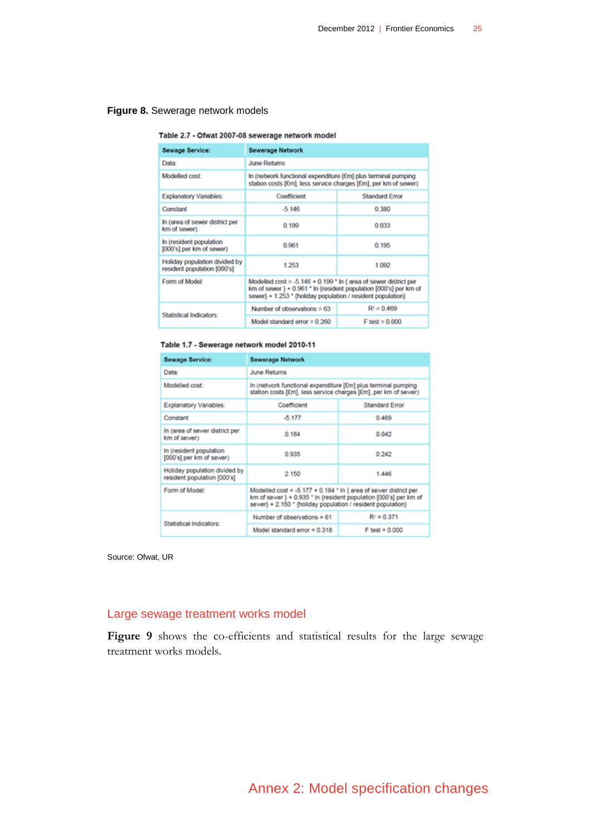#### <span id="page-24-0"></span>**Figure 8.** Sewerage network models

#### Table 2.7 - Ofwat 2007-08 sewerage network model

| Sewage Service:                                              | <b>Sewerage Network</b>                                                                                                                                                                              |                       |  |
|--------------------------------------------------------------|------------------------------------------------------------------------------------------------------------------------------------------------------------------------------------------------------|-----------------------|--|
| Data:                                                        | <b>June Returns</b>                                                                                                                                                                                  |                       |  |
| Modelled cost:                                               | In (network functional expenditure [£m] plus terminal pumping<br>station costs [£m], less service charges [£m], per km of sewer)                                                                     |                       |  |
| <b>Explanatory Variables:</b>                                | Coefficient                                                                                                                                                                                          | <b>Standard Error</b> |  |
| Constant                                                     | $-5.146$                                                                                                                                                                                             | 0.380                 |  |
| In (area of sewer district per<br>km of sewer)               | 0.199                                                                                                                                                                                                | 0.033                 |  |
| In (resident population<br>[000's] per km of sewer)          | 0.961                                                                                                                                                                                                | 0.195                 |  |
| Holiday population divided by<br>resident population [000's] | 1253                                                                                                                                                                                                 | 1.092                 |  |
| Form of Model:                                               | Modelled cost = -5.146 + 0.199 * In { area of sewer district per<br>km of sewer } + 0.961 * In {resident population [000's] per km of<br>sewer} + 1,253 * (holiday population / resident population) |                       |  |
| Statistical Indicators:                                      | Number of observations $= 63$                                                                                                                                                                        | $R^{\circ} = 0.469$   |  |
|                                                              | Model standard error $= 0.260$                                                                                                                                                                       | $F$ test = 0.000      |  |

#### Table 1.7 - Sewerage network model 2010-11

| Sewage Service:                                              | <b>Sewerage Network</b>                                                                                                                                                                              |                       |
|--------------------------------------------------------------|------------------------------------------------------------------------------------------------------------------------------------------------------------------------------------------------------|-----------------------|
| Data:                                                        | June Returns                                                                                                                                                                                         |                       |
| Modelled cost:                                               | In (network functional expenditure [£m] plus terminal pumping<br>station costs [£m], less service charges [£m], per km of sewer)                                                                     |                       |
| Explanatory Variables:                                       | Coefficient                                                                                                                                                                                          | <b>Standard Error</b> |
| Constant                                                     | $-5.177$                                                                                                                                                                                             | 0.469                 |
| In (area of sewer district per<br>km of sewer)               | 0.184                                                                                                                                                                                                | 0.042                 |
| In (resident population<br>[000's] per km of sewer)          | 0.935                                                                                                                                                                                                | 0.242                 |
| Holiday population divided by<br>resident population [000's] | 2.150                                                                                                                                                                                                | 1.446                 |
| Form of Model:                                               | Modelled cost = -5.177 + 0.184 * In { area of sewer district per<br>km of sewer } + 0.935 * In (resident population [000's] per km of<br>sewer} + 2.150 * (holiday population / resident population) |                       |
| Statistical Indicators:                                      | Number of observations = 61                                                                                                                                                                          | $R^{\circ} = 0.371$   |
|                                                              | Model standard error = $0.318$                                                                                                                                                                       | $F$ test = $0.000$    |

Source: Ofwat, UR

### Large sewage treatment works model

[Figure 9](#page-25-0) shows the co-efficients and statistical results for the large sewage treatment works models.